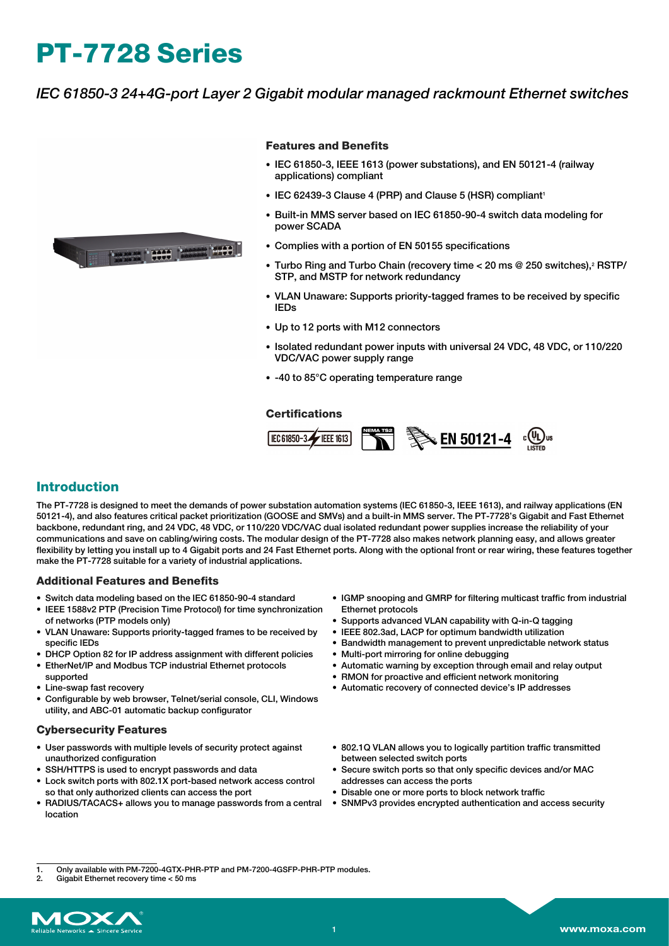# **PT-7728 Series**

## *IEC 61850-3 24+4G-port Layer 2 Gigabit modular managed rackmount Ethernet switches*



#### **Features and Benefits**

- IEC 61850-3, IEEE 1613 (power substations), and EN 50121-4 (railway applications) compliant
- IEC 62439-3 Clause 4 (PRP) and Clause 5 (HSR) compliant<sup>1</sup>
- Built-in MMS server based on IEC 61850-90-4 switch data modeling for power SCADA
- Complies with a portion of EN 50155 specifications
- Turbo Ring and Turbo Chain (recovery time < 20 ms @ 250 switches). **RSTP/** STP, and MSTP for network redundancy
- VLAN Unaware: Supports priority-tagged frames to be received by specific IEDs
- Up to 12 ports with M12 connectors
- Isolated redundant power inputs with universal 24 VDC, 48 VDC, or 110/220 VDC/VAC power supply range
- -40 to 85°C operating temperature range

#### **Certifications**



### **Introduction**

The PT-7728 is designed to meet the demands of power substation automation systems (IEC 61850-3, IEEE 1613), and railway applications (EN 50121-4), and also features critical packet prioritization (GOOSE and SMVs) and a built-in MMS server. The PT-7728's Gigabit and Fast Ethernet backbone, redundant ring, and 24 VDC, 48 VDC, or 110/220 VDC/VAC dual isolated redundant power supplies increase the reliability of your communications and save on cabling/wiring costs. The modular design of the PT-7728 also makes network planning easy, and allows greater flexibility by letting you install up to 4 Gigabit ports and 24 Fast Ethernet ports. Along with the optional front or rear wiring, these features together make the PT-7728 suitable for a variety of industrial applications.

#### **Additional Features and Benefits**

- Switch data modeling based on the IEC 61850-90-4 standard
- IEEE 1588v2 PTP (Precision Time Protocol) for time synchronization of networks (PTP models only)
- VLAN Unaware: Supports priority-tagged frames to be received by specific IEDs
- DHCP Option 82 for IP address assignment with different policies
- EtherNet/IP and Modbus TCP industrial Ethernet protocols supported
- Line-swap fast recovery
- Configurable by web browser, Telnet/serial console, CLI, Windows utility, and ABC-01 automatic backup configurator

#### **Cybersecurity Features**

- User passwords with multiple levels of security protect against unauthorized configuration
- SSH/HTTPS is used to encrypt passwords and data
- Lock switch ports with 802.1X port-based network access control so that only authorized clients can access the port
- RADIUS/TACACS+ allows you to manage passwords from a central SNMPv3 provides encrypted authentication and access security location
- IGMP snooping and GMRP for filtering multicast traffic from industrial Ethernet protocols
- Supports advanced VLAN capability with Q-in-Q tagging
- IEEE 802.3ad, LACP for optimum bandwidth utilization
- Bandwidth management to prevent unpredictable network status
- Multi-port mirroring for online debugging
- Automatic warning by exception through email and relay output
- RMON for proactive and efficient network monitoring
- Automatic recovery of connected device's IP addresses
- 802.1Q VLAN allows you to logically partition traffic transmitted between selected switch ports
- Secure switch ports so that only specific devices and/or MAC addresses can access the ports
- Disable one or more ports to block network traffic
- 

Gigabit Ethernet recovery time < 50 ms



<sup>1.</sup> Only available with PM-7200-4GTX-PHR-PTP and PM-7200-4GSFP-PHR-PTP modules.<br>2 Gigabit Ethernet recovery time < 50 ms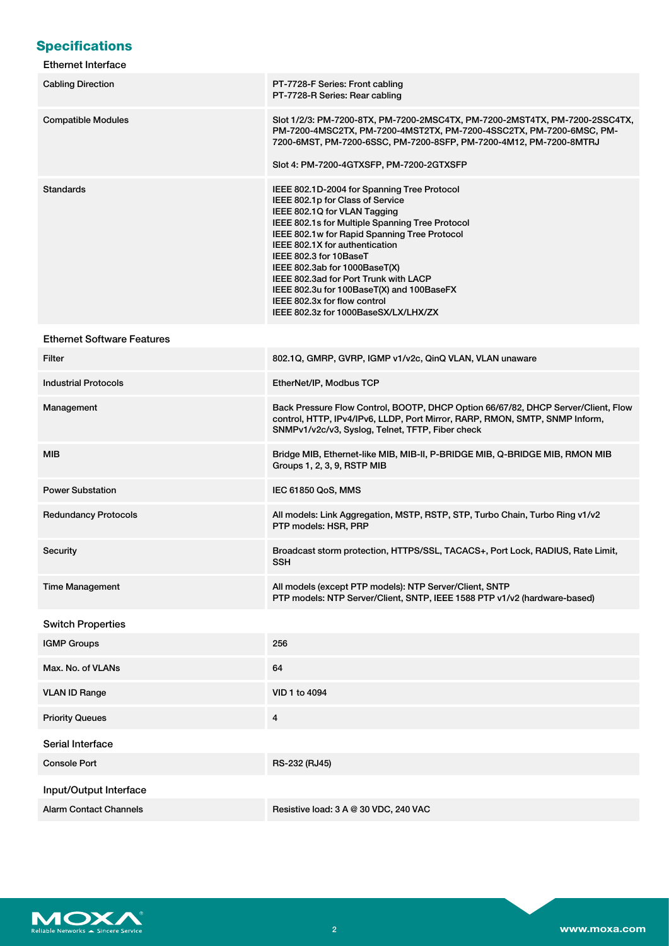# **Specifications**

| Ethernet Interface |  |
|--------------------|--|
|--------------------|--|

| <b>Cabling Direction</b>          | PT-7728-F Series: Front cabling<br>PT-7728-R Series: Rear cabling                                                                                                                                                                                                                                                                                                                                                                                                             |
|-----------------------------------|-------------------------------------------------------------------------------------------------------------------------------------------------------------------------------------------------------------------------------------------------------------------------------------------------------------------------------------------------------------------------------------------------------------------------------------------------------------------------------|
| <b>Compatible Modules</b>         | Slot 1/2/3: PM-7200-8TX, PM-7200-2MSC4TX, PM-7200-2MST4TX, PM-7200-2SSC4TX,<br>PM-7200-4MSC2TX, PM-7200-4MST2TX, PM-7200-4SSC2TX, PM-7200-6MSC, PM-<br>7200-6MST, PM-7200-6SSC, PM-7200-8SFP, PM-7200-4M12, PM-7200-8MTRJ<br>Slot 4: PM-7200-4GTXSFP, PM-7200-2GTXSFP                                                                                                                                                                                                         |
| Standards                         | IEEE 802.1D-2004 for Spanning Tree Protocol<br>IEEE 802.1p for Class of Service<br>IEEE 802.1Q for VLAN Tagging<br>IEEE 802.1s for Multiple Spanning Tree Protocol<br>IEEE 802.1w for Rapid Spanning Tree Protocol<br>IEEE 802.1X for authentication<br>IEEE 802.3 for 10BaseT<br>IEEE 802.3ab for 1000BaseT(X)<br>IEEE 802.3ad for Port Trunk with LACP<br>IEEE 802.3u for 100BaseT(X) and 100BaseFX<br>IEEE 802.3x for flow control<br>IEEE 802.3z for 1000BaseSX/LX/LHX/ZX |
| <b>Ethernet Software Features</b> |                                                                                                                                                                                                                                                                                                                                                                                                                                                                               |
| Filter                            | 802.1Q, GMRP, GVRP, IGMP v1/v2c, QinQ VLAN, VLAN unaware                                                                                                                                                                                                                                                                                                                                                                                                                      |
| <b>Industrial Protocols</b>       | EtherNet/IP, Modbus TCP                                                                                                                                                                                                                                                                                                                                                                                                                                                       |
| Management                        | Back Pressure Flow Control, BOOTP, DHCP Option 66/67/82, DHCP Server/Client, Flow<br>control, HTTP, IPv4/IPv6, LLDP, Port Mirror, RARP, RMON, SMTP, SNMP Inform,<br>SNMPv1/v2c/v3, Syslog, Telnet, TFTP, Fiber check                                                                                                                                                                                                                                                          |
| MIB                               | Bridge MIB, Ethernet-like MIB, MIB-II, P-BRIDGE MIB, Q-BRIDGE MIB, RMON MIB<br>Groups 1, 2, 3, 9, RSTP MIB                                                                                                                                                                                                                                                                                                                                                                    |
| <b>Power Substation</b>           | IEC 61850 QoS, MMS                                                                                                                                                                                                                                                                                                                                                                                                                                                            |
| <b>Redundancy Protocols</b>       | All models: Link Aggregation, MSTP, RSTP, STP, Turbo Chain, Turbo Ring v1/v2<br>PTP models: HSR, PRP                                                                                                                                                                                                                                                                                                                                                                          |
| Security                          | Broadcast storm protection, HTTPS/SSL, TACACS+, Port Lock, RADIUS, Rate Limit,<br><b>SSH</b>                                                                                                                                                                                                                                                                                                                                                                                  |
| <b>Time Management</b>            | All models (except PTP models): NTP Server/Client, SNTP<br>PTP models: NTP Server/Client, SNTP, IEEE 1588 PTP v1/v2 (hardware-based)                                                                                                                                                                                                                                                                                                                                          |
| <b>Switch Properties</b>          |                                                                                                                                                                                                                                                                                                                                                                                                                                                                               |
| <b>IGMP Groups</b>                | 256                                                                                                                                                                                                                                                                                                                                                                                                                                                                           |
| Max. No. of VLANs                 | 64                                                                                                                                                                                                                                                                                                                                                                                                                                                                            |
| <b>VLAN ID Range</b>              | VID 1 to 4094                                                                                                                                                                                                                                                                                                                                                                                                                                                                 |
| <b>Priority Queues</b>            | 4                                                                                                                                                                                                                                                                                                                                                                                                                                                                             |
| Serial Interface                  |                                                                                                                                                                                                                                                                                                                                                                                                                                                                               |
| <b>Console Port</b>               | RS-232 (RJ45)                                                                                                                                                                                                                                                                                                                                                                                                                                                                 |
| Input/Output Interface            |                                                                                                                                                                                                                                                                                                                                                                                                                                                                               |
| <b>Alarm Contact Channels</b>     | Resistive load: 3 A @ 30 VDC, 240 VAC                                                                                                                                                                                                                                                                                                                                                                                                                                         |

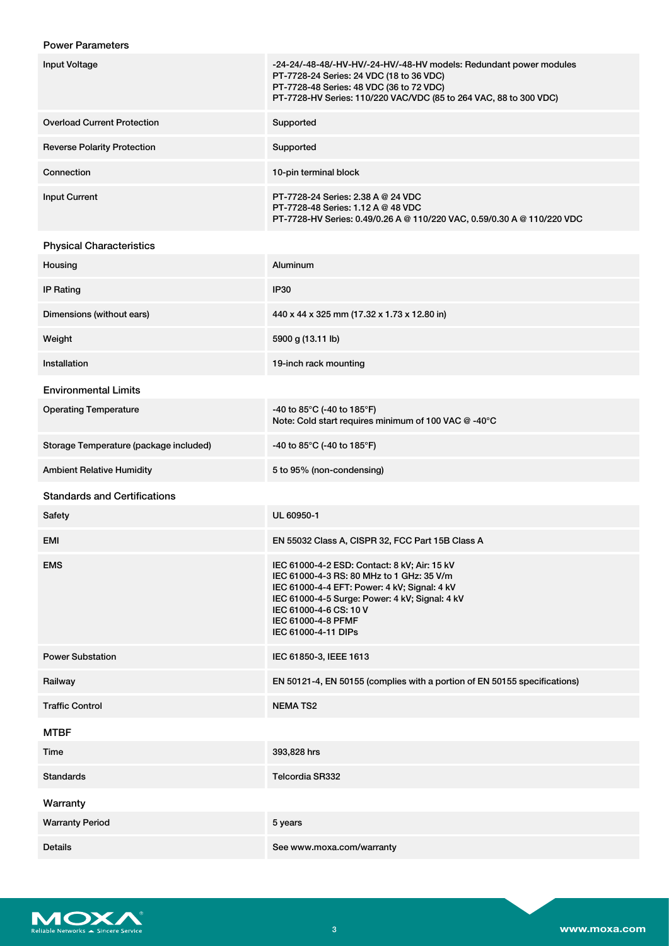## Power Parameters

| Input Voltage                      | -24-24/-48-48/-HV-HV/-24-HV/-48-HV models: Redundant power modules<br>PT-7728-24 Series: 24 VDC (18 to 36 VDC)<br>PT-7728-48 Series: 48 VDC (36 to 72 VDC)<br>PT-7728-HV Series: 110/220 VAC/VDC (85 to 264 VAC, 88 to 300 VDC) |
|------------------------------------|---------------------------------------------------------------------------------------------------------------------------------------------------------------------------------------------------------------------------------|
| <b>Overload Current Protection</b> | Supported                                                                                                                                                                                                                       |
| <b>Reverse Polarity Protection</b> | Supported                                                                                                                                                                                                                       |
| Connection                         | 10-pin terminal block                                                                                                                                                                                                           |
| <b>Input Current</b>               | PT-7728-24 Series: 2.38 A @ 24 VDC<br>PT-7728-48 Series: 1.12 A @ 48 VDC<br>PT-7728-HV Series: 0.49/0.26 A @ 110/220 VAC, 0.59/0.30 A @ 110/220 VDC                                                                             |

## Physical Characteristics

| Housing                                | Aluminum                                                                                                                                                                                                                                                           |
|----------------------------------------|--------------------------------------------------------------------------------------------------------------------------------------------------------------------------------------------------------------------------------------------------------------------|
| <b>IP Rating</b>                       | <b>IP30</b>                                                                                                                                                                                                                                                        |
| Dimensions (without ears)              | 440 x 44 x 325 mm (17.32 x 1.73 x 12.80 in)                                                                                                                                                                                                                        |
| Weight                                 | 5900 g (13.11 lb)                                                                                                                                                                                                                                                  |
| Installation                           | 19-inch rack mounting                                                                                                                                                                                                                                              |
| <b>Environmental Limits</b>            |                                                                                                                                                                                                                                                                    |
| <b>Operating Temperature</b>           | -40 to 85°C (-40 to 185°F)<br>Note: Cold start requires minimum of 100 VAC @ -40°C                                                                                                                                                                                 |
| Storage Temperature (package included) | -40 to 85°C (-40 to 185°F)                                                                                                                                                                                                                                         |
| <b>Ambient Relative Humidity</b>       | 5 to 95% (non-condensing)                                                                                                                                                                                                                                          |
| <b>Standards and Certifications</b>    |                                                                                                                                                                                                                                                                    |
| Safety                                 | UL 60950-1                                                                                                                                                                                                                                                         |
| <b>EMI</b>                             | EN 55032 Class A, CISPR 32, FCC Part 15B Class A                                                                                                                                                                                                                   |
| <b>EMS</b>                             | IEC 61000-4-2 ESD: Contact: 8 kV; Air: 15 kV<br>IEC 61000-4-3 RS: 80 MHz to 1 GHz: 35 V/m<br>IEC 61000-4-4 EFT: Power: 4 kV; Signal: 4 kV<br>IEC 61000-4-5 Surge: Power: 4 kV; Signal: 4 kV<br>IEC 61000-4-6 CS: 10 V<br>IEC 61000-4-8 PFMF<br>IEC 61000-4-11 DIPs |
| <b>Power Substation</b>                | IEC 61850-3, IEEE 1613                                                                                                                                                                                                                                             |
| Railway                                | EN 50121-4, EN 50155 (complies with a portion of EN 50155 specifications)                                                                                                                                                                                          |
| <b>Traffic Control</b>                 | <b>NEMATS2</b>                                                                                                                                                                                                                                                     |
| <b>MTBF</b>                            |                                                                                                                                                                                                                                                                    |
| Time                                   | 393,828 hrs                                                                                                                                                                                                                                                        |
| <b>Standards</b>                       | Telcordia SR332                                                                                                                                                                                                                                                    |
| Warranty                               |                                                                                                                                                                                                                                                                    |
| <b>Warranty Period</b>                 | 5 years                                                                                                                                                                                                                                                            |
| Details                                | See www.moxa.com/warranty                                                                                                                                                                                                                                          |

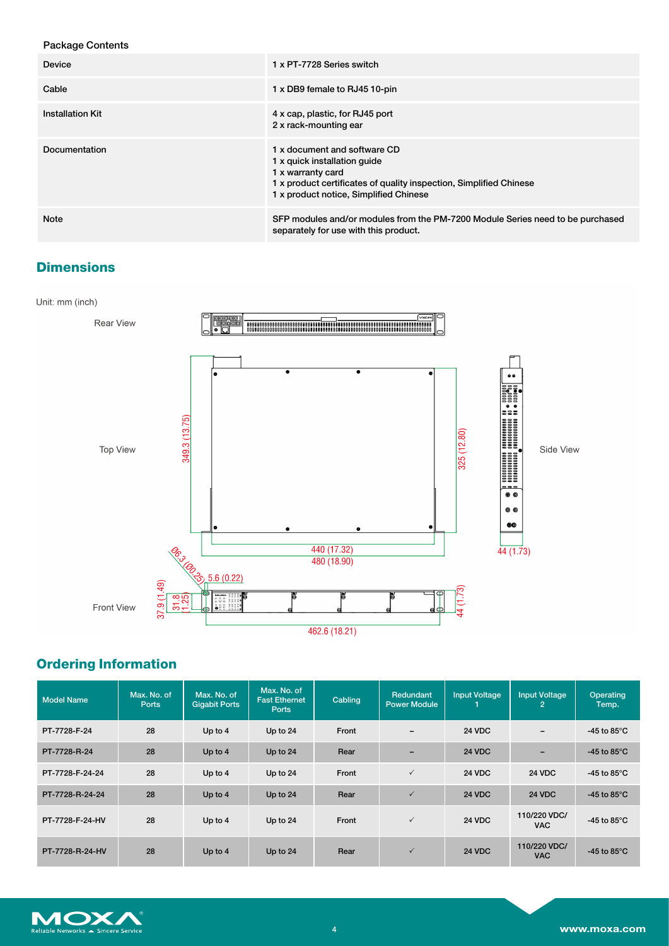| <b>Package Contents</b> |                                                                                                                                                                                                   |
|-------------------------|---------------------------------------------------------------------------------------------------------------------------------------------------------------------------------------------------|
| <b>Device</b>           | 1 x PT-7728 Series switch                                                                                                                                                                         |
| Cable                   | 1 x DB9 female to RJ45 10-pin                                                                                                                                                                     |
| <b>Installation Kit</b> | 4 x cap, plastic, for RJ45 port<br>2 x rack-mounting ear                                                                                                                                          |
| Documentation           | 1 x document and software CD<br>1 x quick installation quide<br>1 x warranty card<br>1 x product certificates of quality inspection, Simplified Chinese<br>1 x product notice, Simplified Chinese |
| Note                    | SFP modules and/or modules from the PM-7200 Module Series need to be purchased<br>separately for use with this product.                                                                           |

# **Dimensions**



# **Ordering Information**

| <b>Model Name</b> | Max. No. of<br><b>Ports</b> | Max. No. of<br><b>Gigabit Ports</b> | Max. No. of<br><b>Fast Ethernet</b><br><b>Ports</b> | Cabling | Redundant<br><b>Power Module</b> | <b>Input Voltage</b> | <b>Input Voltage</b><br>$\overline{2}$ | Operating<br>Temp.             |
|-------------------|-----------------------------|-------------------------------------|-----------------------------------------------------|---------|----------------------------------|----------------------|----------------------------------------|--------------------------------|
| PT-7728-F-24      | 28                          | Up to 4                             | Up to 24                                            | Front   | $\overline{\phantom{0}}$         | <b>24 VDC</b>        | $\overline{\phantom{0}}$               | -45 to 85 $^{\circ}$ C         |
| PT-7728-R-24      | 28                          | Up to $4$                           | Up to 24                                            | Rear    | -                                | <b>24 VDC</b>        | -                                      | -45 to 85 $\mathrm{^{\circ}C}$ |
| PT-7728-F-24-24   | 28                          | Up to $4$                           | Up to 24                                            | Front   | $\checkmark$                     | <b>24 VDC</b>        | <b>24 VDC</b>                          | -45 to 85 $\mathrm{^{\circ}C}$ |
| PT-7728-R-24-24   | 28                          | Up to 4                             | Up to 24                                            | Rear    | $\checkmark$                     | <b>24 VDC</b>        | <b>24 VDC</b>                          | -45 to 85 $\mathrm{^{\circ}C}$ |
| PT-7728-F-24-HV   | 28                          | Up to $4$                           | Up to 24                                            | Front   | $\checkmark$                     | <b>24 VDC</b>        | 110/220 VDC/<br><b>VAC</b>             | -45 to 85 $\mathrm{^{\circ}C}$ |
| PT-7728-R-24-HV   | 28                          | Up to $4$                           | Up to 24                                            | Rear    | $\checkmark$                     | <b>24 VDC</b>        | 110/220 VDC/<br><b>VAC</b>             | -45 to 85 $\mathrm{^{\circ}C}$ |

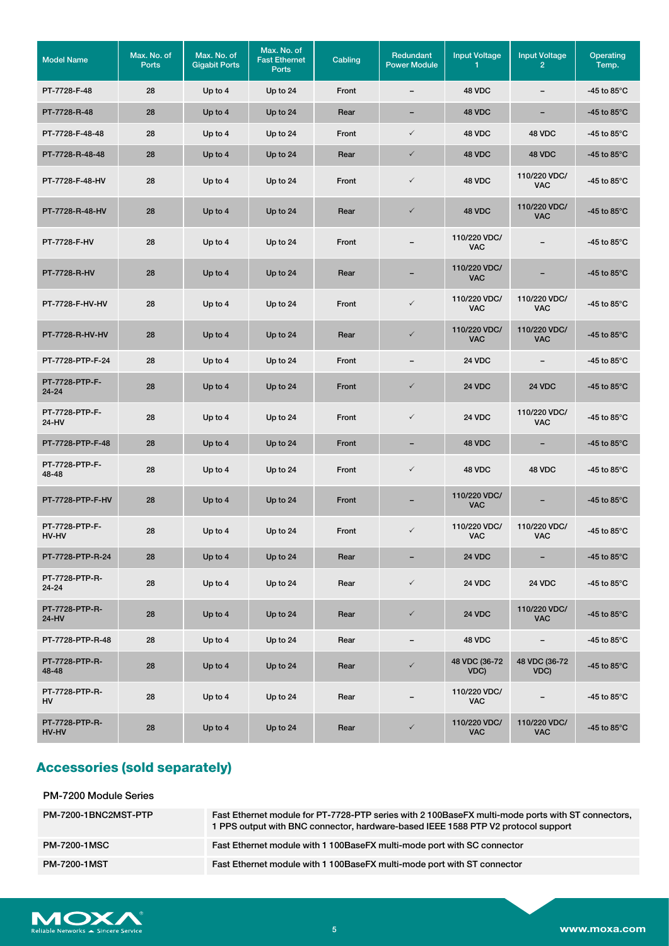| <b>Model Name</b>              | Max. No. of<br><b>Ports</b> | Max. No. of<br><b>Gigabit Ports</b> | Max. No. of<br><b>Fast Ethernet</b><br><b>Ports</b> | Cabling | Redundant<br><b>Power Module</b> | <b>Input Voltage</b><br>1. | <b>Input Voltage</b><br>$\overline{2}$ | Operating<br>Temp.             |
|--------------------------------|-----------------------------|-------------------------------------|-----------------------------------------------------|---------|----------------------------------|----------------------------|----------------------------------------|--------------------------------|
| PT-7728-F-48                   | 28                          | Up to 4                             | Up to 24                                            | Front   | $\overline{\phantom{0}}$         | 48 VDC                     | -                                      | -45 to 85 $\degree$ C          |
| PT-7728-R-48                   | 28                          | Up to 4                             | Up to 24                                            | Rear    | $\qquad \qquad =$                | 48 VDC                     | $\overline{\phantom{a}}$               | -45 to $85^{\circ}$ C          |
| PT-7728-F-48-48                | 28                          | Up to 4                             | Up to 24                                            | Front   | $\checkmark$                     | 48 VDC                     | 48 VDC                                 | -45 to 85 $\degree$ C          |
| PT-7728-R-48-48                | 28                          | Up to 4                             | Up to 24                                            | Rear    | $\checkmark$                     | 48 VDC                     | 48 VDC                                 | -45 to 85 $\degree$ C          |
| PT-7728-F-48-HV                | 28                          | Up to 4                             | Up to 24                                            | Front   | $\checkmark$                     | 48 VDC                     | 110/220 VDC/<br>VAC                    | -45 to 85 $\degree$ C          |
| PT-7728-R-48-HV                | 28                          | Up to $4$                           | Up to 24                                            | Rear    | $\checkmark$                     | 48 VDC                     | 110/220 VDC/<br>VAC                    | -45 to 85 $\degree$ C          |
| PT-7728-F-HV                   | 28                          | Up to 4                             | Up to 24                                            | Front   |                                  | 110/220 VDC/<br><b>VAC</b> |                                        | -45 to 85 $\degree$ C          |
| PT-7728-R-HV                   | 28                          | Up to $4$                           | Up to 24                                            | Rear    |                                  | 110/220 VDC/<br><b>VAC</b> |                                        | -45 to 85 $\mathrm{^{\circ}C}$ |
| PT-7728-F-HV-HV                | 28                          | Up to 4                             | Up to 24                                            | Front   | $\checkmark$                     | 110/220 VDC/<br><b>VAC</b> | 110/220 VDC/<br><b>VAC</b>             | -45 to 85 $\degree$ C          |
| PT-7728-R-HV-HV                | 28                          | Up to 4                             | Up to 24                                            | Rear    | $\checkmark$                     | 110/220 VDC/<br><b>VAC</b> | 110/220 VDC/<br><b>VAC</b>             | -45 to $85^{\circ}$ C          |
| PT-7728-PTP-F-24               | 28                          | Up to 4                             | Up to 24                                            | Front   |                                  | <b>24 VDC</b>              | -                                      | -45 to 85 $\degree$ C          |
| PT-7728-PTP-F-<br>$24 - 24$    | 28                          | Up to 4                             | Up to 24                                            | Front   | $\checkmark$                     | <b>24 VDC</b>              | <b>24 VDC</b>                          | -45 to 85 $\degree$ C          |
| PT-7728-PTP-F-<br>24-HV        | 28                          | Up to 4                             | Up to 24                                            | Front   | $\checkmark$                     | 24 VDC                     | 110/220 VDC/<br>VAC                    | -45 to 85 $\degree$ C          |
| PT-7728-PTP-F-48               | 28                          | Up to 4                             | Up to 24                                            | Front   | -                                | 48 VDC                     | -                                      | -45 to 85 $\degree$ C          |
| PT-7728-PTP-F-<br>48-48        | 28                          | Up to $4$                           | Up to 24                                            | Front   | $\checkmark$                     | 48 VDC                     | 48 VDC                                 | -45 to 85 $\degree$ C          |
| PT-7728-PTP-F-HV               | 28                          | Up to $4$                           | Up to 24                                            | Front   | $\overline{\phantom{0}}$         | 110/220 VDC/<br><b>VAC</b> |                                        | -45 to 85 $\mathrm{^{\circ}C}$ |
| PT-7728-PTP-F-<br><b>HV-HV</b> | 28                          | Up to $4$                           | Up to 24                                            | Front   | $\checkmark$                     | 110/220 VDC/<br><b>VAC</b> | 110/220 VDC/<br>VAC                    | -45 to 85 $\degree$ C          |
| PT-7728-PTP-R-24               | 28                          | Up to 4                             | Up to 24                                            | Rear    |                                  | 24 VDC                     | -                                      | -45 to 85 $^{\circ}$ C         |
| PT-7728-PTP-R-<br>24-24        | 28                          | Up to 4                             | Up to 24                                            | Rear    | $\checkmark$                     | 24 VDC                     | <b>24 VDC</b>                          | -45 to 85 $\degree$ C          |
| PT-7728-PTP-R-<br>24-HV        | 28                          | Up to 4                             | Up to 24                                            | Rear    | $\checkmark$                     | 24 VDC                     | 110/220 VDC/<br><b>VAC</b>             | -45 to 85 $\degree$ C          |
| PT-7728-PTP-R-48               | 28                          | Up to 4                             | Up to 24                                            | Rear    | $\overline{\phantom{a}}$         | 48 VDC                     | $\overline{\phantom{a}}$               | -45 to 85 $\mathrm{^{\circ}C}$ |
| PT-7728-PTP-R-<br>48-48        | 28                          | Up to 4                             | Up to 24                                            | Rear    | $\checkmark$                     | 48 VDC (36-72<br>VDC)      | 48 VDC (36-72<br>VDC)                  | -45 to 85 $\degree$ C          |
| PT-7728-PTP-R-<br>HV           | 28                          | Up to 4                             | Up to 24                                            | Rear    | $\overline{\phantom{0}}$         | 110/220 VDC/<br><b>VAC</b> |                                        | -45 to 85 $\degree$ C          |
| PT-7728-PTP-R-<br>HV-HV        | 28                          | Up to 4                             | Up to 24                                            | Rear    | $\checkmark$                     | 110/220 VDC/<br><b>VAC</b> | 110/220 VDC/<br><b>VAC</b>             | -45 to $85^{\circ}$ C          |

# **Accessories (sold separately)**

| <b>PM-7200 Module Series</b> |                                                                                                                                                                                       |
|------------------------------|---------------------------------------------------------------------------------------------------------------------------------------------------------------------------------------|
| PM-7200-1BNC2MST-PTP         | Fast Ethernet module for PT-7728-PTP series with 2100BaseFX multi-mode ports with ST connectors,<br>1 PPS output with BNC connector, hardware-based IEEE 1588 PTP V2 protocol support |
| <b>PM-7200-1MSC</b>          | Fast Ethernet module with 1100BaseFX multi-mode port with SC connector                                                                                                                |
| <b>PM-7200-1MST</b>          | Fast Ethernet module with 1100BaseFX multi-mode port with ST connector                                                                                                                |

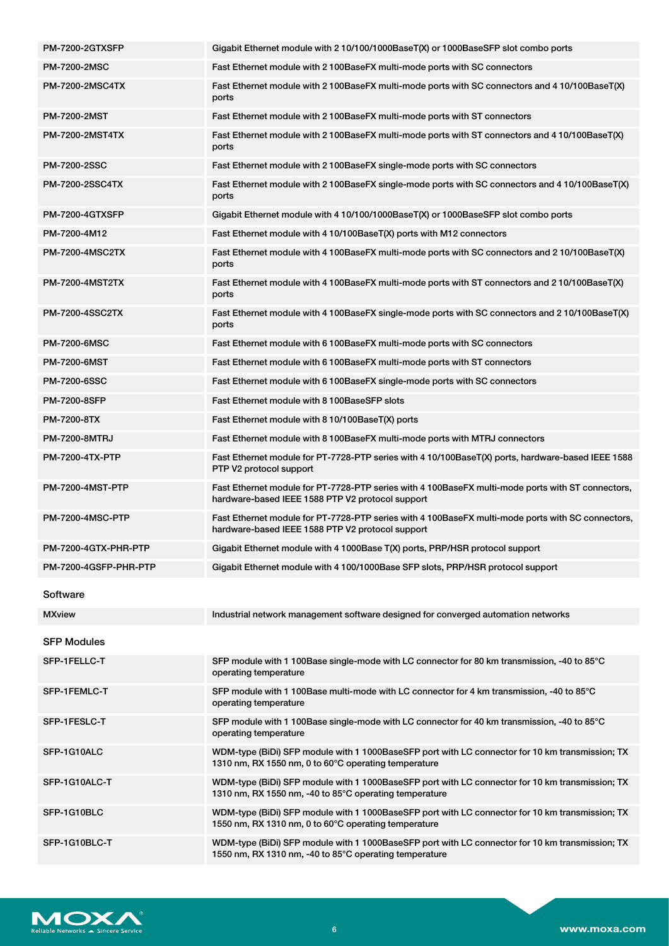| PM-7200-2GTXSFP         | Gigabit Ethernet module with 210/100/1000BaseT(X) or 1000BaseSFP slot combo ports                                                                         |
|-------------------------|-----------------------------------------------------------------------------------------------------------------------------------------------------------|
| <b>PM-7200-2MSC</b>     | Fast Ethernet module with 2 100BaseFX multi-mode ports with SC connectors                                                                                 |
| <b>PM-7200-2MSC4TX</b>  | Fast Ethernet module with 2 100BaseFX multi-mode ports with SC connectors and 4 10/100BaseT(X)<br>ports                                                   |
| <b>PM-7200-2MST</b>     | Fast Ethernet module with 2100BaseFX multi-mode ports with ST connectors                                                                                  |
| <b>PM-7200-2MST4TX</b>  | Fast Ethernet module with 2100BaseFX multi-mode ports with ST connectors and 410/100BaseT(X)<br>ports                                                     |
| PM-7200-2SSC            | Fast Ethernet module with 2100BaseFX single-mode ports with SC connectors                                                                                 |
| <b>PM-7200-2SSC4TX</b>  | Fast Ethernet module with 2 100BaseFX single-mode ports with SC connectors and 4 10/100BaseT(X)<br>ports                                                  |
| PM-7200-4GTXSFP         | Gigabit Ethernet module with 4 10/100/1000BaseT(X) or 1000BaseSFP slot combo ports                                                                        |
| PM-7200-4M12            | Fast Ethernet module with 4 10/100BaseT(X) ports with M12 connectors                                                                                      |
| <b>PM-7200-4MSC2TX</b>  | Fast Ethernet module with 4 100BaseFX multi-mode ports with SC connectors and 2 10/100BaseT(X)<br>ports                                                   |
| <b>PM-7200-4MST2TX</b>  | Fast Ethernet module with 4 100BaseFX multi-mode ports with ST connectors and 2 10/100BaseT(X)<br>ports                                                   |
| <b>PM-7200-4SSC2TX</b>  | Fast Ethernet module with 4 100BaseFX single-mode ports with SC connectors and 2 10/100BaseT(X)<br>ports                                                  |
| PM-7200-6MSC            | Fast Ethernet module with 6 100BaseFX multi-mode ports with SC connectors                                                                                 |
| <b>PM-7200-6MST</b>     | Fast Ethernet module with 6 100BaseFX multi-mode ports with ST connectors                                                                                 |
| <b>PM-7200-6SSC</b>     | Fast Ethernet module with 6 100BaseFX single-mode ports with SC connectors                                                                                |
| <b>PM-7200-8SFP</b>     | Fast Ethernet module with 8 100BaseSFP slots                                                                                                              |
| PM-7200-8TX             | Fast Ethernet module with 8 10/100BaseT(X) ports                                                                                                          |
| <b>PM-7200-8MTRJ</b>    | Fast Ethernet module with 8 100BaseFX multi-mode ports with MTRJ connectors                                                                               |
|                         |                                                                                                                                                           |
| <b>PM-7200-4TX-PTP</b>  | Fast Ethernet module for PT-7728-PTP series with 4 10/100BaseT(X) ports, hardware-based IEEE 1588<br>PTP V2 protocol support                              |
| <b>PM-7200-4MST-PTP</b> | Fast Ethernet module for PT-7728-PTP series with 4 100BaseFX multi-mode ports with ST connectors,<br>hardware-based IEEE 1588 PTP V2 protocol support     |
| <b>PM-7200-4MSC-PTP</b> | Fast Ethernet module for PT-7728-PTP series with 4 100BaseFX multi-mode ports with SC connectors,<br>hardware-based IEEE 1588 PTP V2 protocol support     |
| PM-7200-4GTX-PHR-PTP    | Gigabit Ethernet module with 4 1000Base T(X) ports, PRP/HSR protocol support                                                                              |
| PM-7200-4GSFP-PHR-PTP   | Gigabit Ethernet module with 4 100/1000Base SFP slots, PRP/HSR protocol support                                                                           |
| Software                |                                                                                                                                                           |
| <b>MXview</b>           | Industrial network management software designed for converged automation networks                                                                         |
| <b>SFP Modules</b>      |                                                                                                                                                           |
| SFP-1FELLC-T            | SFP module with 1 100Base single-mode with LC connector for 80 km transmission, -40 to 85°C<br>operating temperature                                      |
| SFP-1FEMLC-T            | SFP module with 1 100Base multi-mode with LC connector for 4 km transmission, -40 to 85°C<br>operating temperature                                        |
| SFP-1FESLC-T            | SFP module with 1 100Base single-mode with LC connector for 40 km transmission, -40 to 85°C<br>operating temperature                                      |
| SFP-1G10ALC             | WDM-type (BiDi) SFP module with 1 1000BaseSFP port with LC connector for 10 km transmission; TX<br>1310 nm, RX 1550 nm, 0 to 60°C operating temperature   |
| SFP-1G10ALC-T           | WDM-type (BiDi) SFP module with 1 1000BaseSFP port with LC connector for 10 km transmission; TX<br>1310 nm, RX 1550 nm, -40 to 85°C operating temperature |
| SFP-1G10BLC             | WDM-type (BiDi) SFP module with 1 1000BaseSFP port with LC connector for 10 km transmission; TX<br>1550 nm, RX 1310 nm, 0 to 60°C operating temperature   |